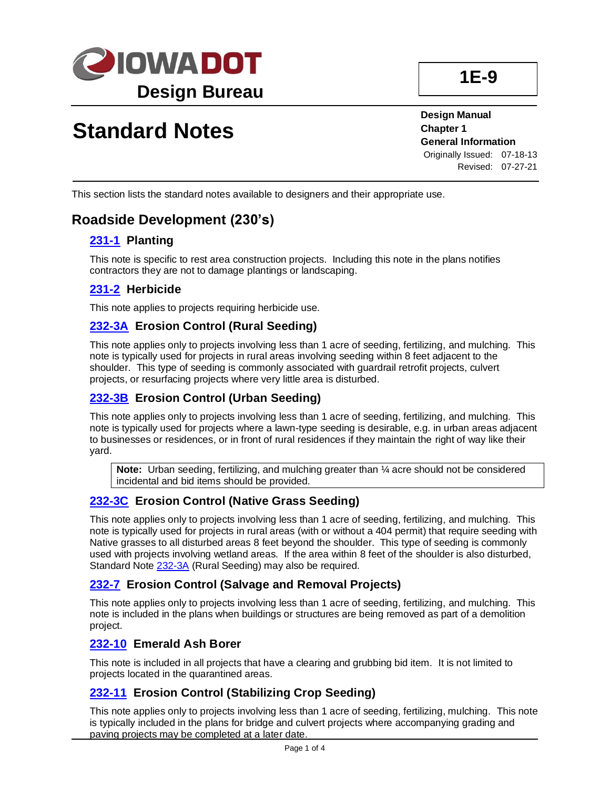

# **Standard Notes**

**Design Manual Chapter 1 General Information** Originally Issued: 07-18-13 Revised: 07-27-21

This section lists the standard notes available to designers and their appropriate use.

### **Roadside Development (230's)**

### **[231-1](../tnt/PDFsandWebFiles/IndividualPDFs/0231-01.PDF) Planting**

This note is specific to rest area construction projects. Including this note in the plans notifies contractors they are not to damage plantings or landscaping.

#### **[231-2](../tnt/PDFsandWebFiles/IndividualPDFs/0231-02.pdf) Herbicide**

This note applies to projects requiring herbicide use.

### **[232-3A](../tnt/PDFsandWebFiles/IndividualPDFs/0232-03A.PDF) Erosion Control (Rural Seeding)**

This note applies only to projects involving less than 1 acre of seeding, fertilizing, and mulching. This note is typically used for projects in rural areas involving seeding within 8 feet adjacent to the shoulder. This type of seeding is commonly associated with guardrail retrofit projects, culvert projects, or resurfacing projects where very little area is disturbed.

### **[232-3B](../tnt/PDFsandWebFiles/IndividualPDFs/0232-03B.PDF) Erosion Control (Urban Seeding)**

This note applies only to projects involving less than 1 acre of seeding, fertilizing, and mulching. This note is typically used for projects where a lawn-type seeding is desirable, e.g. in urban areas adjacent to businesses or residences, or in front of rural residences if they maintain the right of way like their yard.

**Note:** Urban seeding, fertilizing, and mulching greater than ¼ acre should not be considered incidental and bid items should be provided.

### **[232-3C](../tnt/PDFsandWebFiles/IndividualPDFs/0232-03C.PDF) Erosion Control (Native Grass Seeding)**

This note applies only to projects involving less than 1 acre of seeding, fertilizing, and mulching. This note is typically used for projects in rural areas (with or without a 404 permit) that require seeding with Native grasses to all disturbed areas 8 feet beyond the shoulder. This type of seeding is commonly used with projects involving wetland areas. If the area within 8 feet of the shoulder is also disturbed, Standard Note [232-3A](../tnt/PDFsandWebFiles/IndividualPDFs/0232-03A.PDF) (Rural Seeding) may also be required.

### **[232-7](../tnt/PDFsandWebFiles/IndividualPDFs/0232-07.PDF) Erosion Control (Salvage and Removal Projects)**

This note applies only to projects involving less than 1 acre of seeding, fertilizing, and mulching. This note is included in the plans when buildings or structures are being removed as part of a demolition project.

### **[232-10](../tnt/PDFsandWebFiles/IndividualPDFs/0232-10.PDF) Emerald Ash Borer**

This note is included in all projects that have a clearing and grubbing bid item. It is not limited to projects located in the quarantined areas.

### **[232-11](../tnt/PDFsandWebFiles/IndividualPDFs/0232-11.PDF) Erosion Control (Stabilizing Crop Seeding)**

This note applies only to projects involving less than 1 acre of seeding, fertilizing, mulching. This note is typically included in the plans for bridge and culvert projects where accompanying grading and paving projects may be completed at a later date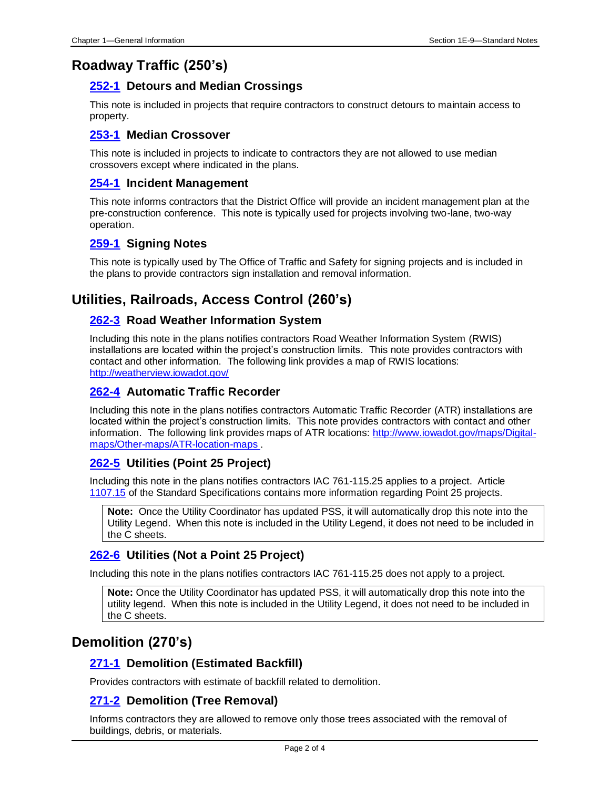### **Roadway Traffic (250's)**

### **[252-1](../tnt/PDFsandWebFiles/IndividualPDFs/0252-01.PDF) Detours and Median Crossings**

This note is included in projects that require contractors to construct detours to maintain access to property.

#### **[253-1](../tnt/PDFsandWebFiles/IndividualPDFs/0253-01.PDF) Median Crossover**

This note is included in projects to indicate to contractors they are not allowed to use median crossovers except where indicated in the plans.

### **[254-1](../tnt/PDFsandWebFiles/IndividualPDFs/0254-01.PDF) Incident Management**

This note informs contractors that the District Office will provide an incident management plan at the pre-construction conference. This note is typically used for projects involving two-lane, two-way operation.

### **[259-1](../tnt/PDFsandWebFiles/IndividualPDFs/0259-01.PDF) Signing Notes**

This note is typically used by The Office of Traffic and Safety for signing projects and is included in the plans to provide contractors sign installation and removal information.

### **Utilities, Railroads, Access Control (260's)**

#### **[262-3](../tnt/PDFsandWebFiles/IndividualPDFs/0262-03.PDF) Road Weather Information System**

Including this note in the plans notifies contractors Road Weather Information System (RWIS) installations are located within the project's construction limits. This note provides contractors with contact and other information. The following link provides a map of RWIS locations: [http://weatherview.iowadot.gov/](https://weatherview.iowadot.gov/)

### **[262-4](../tnt/PDFsandWebFiles/IndividualPDFs/0262-04.PDF) Automatic Traffic Recorder**

Including this note in the plans notifies contractors Automatic Traffic Recorder (ATR) installations are located within the project's construction limits. This note provides contractors with contact and other information. The following link provides maps of ATR locations: [http://www.iowadot.gov/maps/Digital](https://iowadot.maps.arcgis.com/home/webmap/viewer.html?webmap=3540a861639540498fe9cf01c1926f62)[maps/Other-maps/ATR-location-maps](https://iowadot.maps.arcgis.com/home/webmap/viewer.html?webmap=3540a861639540498fe9cf01c1926f62) .

### **[262-5](../tnt/PDFsandWebFiles/IndividualPDFs/0262-05.PDF) Utilities (Point 25 Project)**

Including this note in the plans notifies contractors IAC 761-115.25 applies to a project. Article [1107.15](https://www.iowadot.gov/erl/current/GS/content/1107.htm) of the Standard Specifications contains more information regarding Point 25 projects.

**Note:** Once the Utility Coordinator has updated PSS, it will automatically drop this note into the Utility Legend. When this note is included in the Utility Legend, it does not need to be included in the C sheets.

### **[262-6](../tnt/PDFsandWebFiles/IndividualPDFs/0262-06.PDF) Utilities (Not a Point 25 Project)**

Including this note in the plans notifies contractors IAC 761-115.25 does not apply to a project.

**Note:** Once the Utility Coordinator has updated PSS, it will automatically drop this note into the utility legend. When this note is included in the Utility Legend, it does not need to be included in the C sheets.

### **Demolition (270's)**

### **[271-1](../tnt/PDFsandWebFiles/IndividualPDFs/0271-01.PDF) Demolition (Estimated Backfill)**

Provides contractors with estimate of backfill related to demolition.

### **[271-2](../tnt/PDFsandWebFiles/IndividualPDFs/0271-02.PDF) Demolition (Tree Removal)**

Informs contractors they are allowed to remove only those trees associated with the removal of buildings, debris, or materials.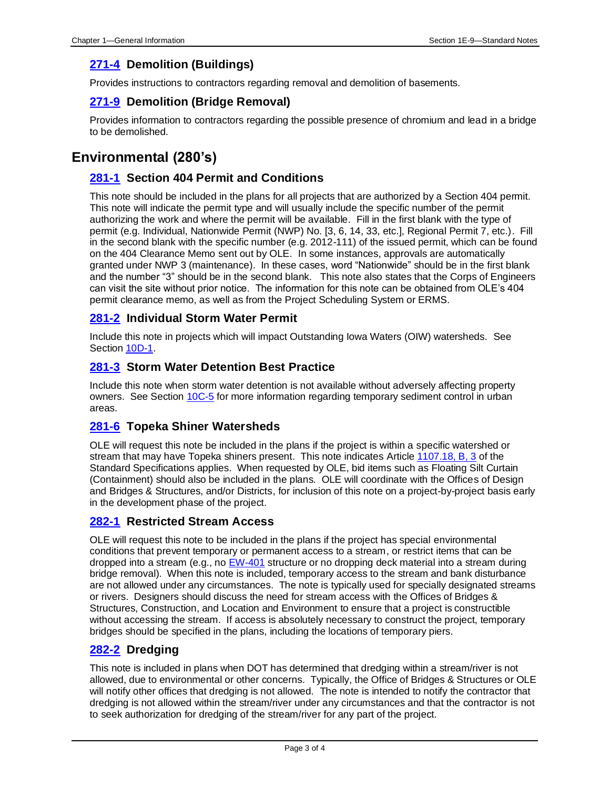### **[271-4](../tnt/PDFsandWebFiles/IndividualPDFs/0271-04.PDF) Demolition (Buildings)**

Provides instructions to contractors regarding removal and demolition of basements.

### **[271-9](../tnt/PDFsandWebFiles/IndividualPDFs/0271-09.PDF) Demolition (Bridge Removal)**

Provides information to contractors regarding the possible presence of chromium and lead in a bridge to be demolished.

### **Environmental (280's)**

### **[281-1](../tnt/PDFsandWebFiles/IndividualPDFs/0281-01.PDF) Section 404 Permit and Conditions**

This note should be included in the plans for all projects that are authorized by a Section 404 permit. This note will indicate the permit type and will usually include the specific number of the permit authorizing the work and where the permit will be available. Fill in the first blank with the type of permit (e.g. Individual, Nationwide Permit (NWP) No. [3, 6, 14, 33, etc.], Regional Permit 7, etc.). Fill in the second blank with the specific number (e.g. 2012-111) of the issued permit, which can be found on the 404 Clearance Memo sent out by OLE. In some instances, approvals are automatically granted under NWP 3 (maintenance). In these cases, word "Nationwide" should be in the first blank and the number "3" should be in the second blank. This note also states that the Corps of Engineers can visit the site without prior notice. The information for this note can be obtained from OLE's 404 permit clearance memo, as well as from the Project Scheduling System or ERMS.

### **[281-2](../tnt/PDFsandWebFiles/IndividualPDFs/0281-02.PDF) Individual Storm Water Permit**

Include this note in projects which will impact Outstanding Iowa Waters (OIW) watersheds. See Section [10D-1.](10D-01.pdf)

### **[281-3](../tnt/PDFsandWebFiles/IndividualPDFs/0281-03.pdf) Storm Water Detention Best Practice**

Include this note when storm water detention is not available without adversely affecting property owners. See Section [10C-5](10C-05.pdf) for more information regarding temporary sediment control in urban areas.

#### **[281-6](../tnt/PDFsandWebFiles/IndividualPDFs/0281-06.PDF) Topeka Shiner Watersheds**

OLE will request this note be included in the plans if the project is within a specific watershed or stream that may have Topeka shiners present. This note indicates Articl[e 1107.18, B, 3](../../erl/current/GS/content/1107.htm) of the Standard Specifications applies. When requested by OLE, bid items such as Floating Silt Curtain (Containment) should also be included in the plans. OLE will coordinate with the Offices of Design and Bridges & Structures, and/or Districts, for inclusion of this note on a project-by-project basis early in the development phase of the project.

### **[282-1](../tnt/PDFsandWebFiles/IndividualPDFs/0282-01.pdf) Restricted Stream Access**

OLE will request this note to be included in the plans if the project has special environmental conditions that prevent temporary or permanent access to a stream, or restrict items that can be dropped into a stream (e.g., no [EW-401](../SRP/IndividualStandards/eew401.pdf) structure or no dropping deck material into a stream during bridge removal). When this note is included, temporary access to the stream and bank disturbance are not allowed under any circumstances. The note is typically used for specially designated streams or rivers. Designers should discuss the need for stream access with the Offices of Bridges & Structures, Construction, and Location and Environment to ensure that a project is constructible without accessing the stream. If access is absolutely necessary to construct the project, temporary bridges should be specified in the plans, including the locations of temporary piers.

#### **[282-2](../tnt/PDFsandWebFiles/IndividualPDFs/0282-02.pdf) Dredging**

This note is included in plans when DOT has determined that dredging within a stream/river is not allowed, due to environmental or other concerns. Typically, the Office of Bridges & Structures or OLE will notify other offices that dredging is not allowed. The note is intended to notify the contractor that dredging is not allowed within the stream/river under any circumstances and that the contractor is not to seek authorization for dredging of the stream/river for any part of the project.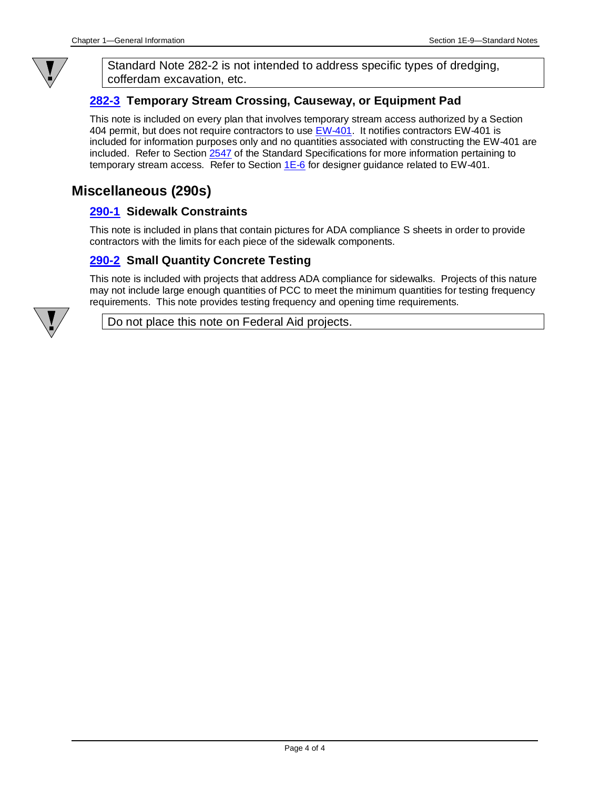

Standard Note 282-2 is not intended to address specific types of dredging, cofferdam excavation, etc.

### **[282-3](../tnt/PDFsandWebFiles/IndividualPDFs/0282-03.pdf) Temporary Stream Crossing, Causeway, or Equipment Pad**

This note is included on every plan that involves temporary stream access authorized by a Section 404 permit, but does not require contractors to use [EW-401.](../SRP/IndividualStandards/eew401.pdf) It notifies contractors EW-401 is included for information purposes only and no quantities associated with constructing the EW-401 are included. Refer to Section [2547](../../erl/current/GS/content/2547.htm) of the Standard Specifications for more information pertaining to temporary stream access. Refer to Section  $1E-6$  for designer guidance related to EW-401.

### **Miscellaneous (290s)**

#### **[290-1](../tnt/PDFsandWebFiles/IndividualPDFs/0290-01.pdf) Sidewalk Constraints**

This note is included in plans that contain pictures for ADA compliance S sheets in order to provide contractors with the limits for each piece of the sidewalk components.

### **[290-2](../tnt/PDFsandWebFiles/IndividualPDFs/0290-02.pdf) Small Quantity Concrete Testing**

This note is included with projects that address ADA compliance for sidewalks. Projects of this nature may not include large enough quantities of PCC to meet the minimum quantities for testing frequency requirements. This note provides testing frequency and opening time requirements.



Do not place this note on Federal Aid projects.